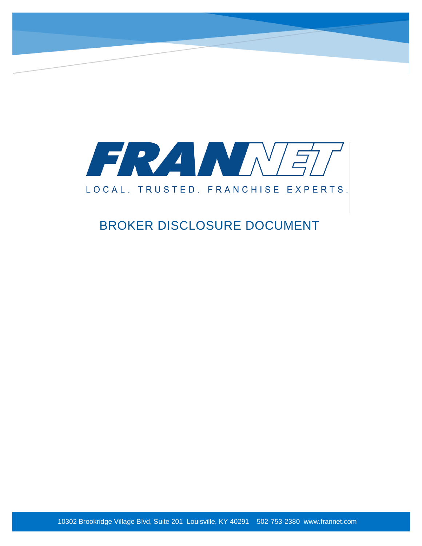

# LOCAL. TRUSTED. FRANCHISE EXPERTS.

# BROKER DISCLOSURE DOCUMENT

10302 Brookridge Village Blvd, Suite 201 Louisville, KY 40291 502-753-2380 www.frannet.com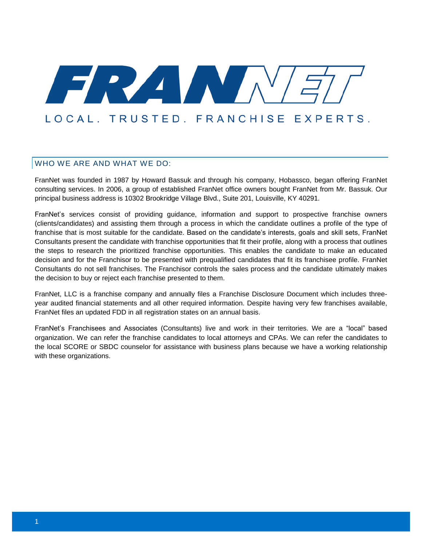# FRZ MA LOCAL, TRUSTED, FRANCHISE EXPERTS.

# WHO WE ARE AND WHAT WE DO:

FranNet was founded in 1987 by Howard Bassuk and through his company, Hobassco, began offering FranNet consulting services. In 2006, a group of established FranNet office owners bought FranNet from Mr. Bassuk. Our principal business address is 10302 Brookridge Village Blvd., Suite 201, Louisville, KY 40291.

FranNet's services consist of providing guidance, information and support to prospective franchise owners (clients/candidates) and assisting them through a process in which the candidate outlines a profile of the type of franchise that is most suitable for the candidate. Based on the candidate's interests, goals and skill sets, FranNet Consultants present the candidate with franchise opportunities that fit their profile, along with a process that outlines the steps to research the prioritized franchise opportunities. This enables the candidate to make an educated decision and for the Franchisor to be presented with prequalified candidates that fit its franchisee profile. FranNet Consultants do not sell franchises. The Franchisor controls the sales process and the candidate ultimately makes the decision to buy or reject each franchise presented to them.

FranNet, LLC is a franchise company and annually files a Franchise Disclosure Document which includes threeyear audited financial statements and all other required information. Despite having very few franchises available, FranNet files an updated FDD in all registration states on an annual basis.

FranNet's Franchisees and Associates (Consultants) live and work in their territories. We are a "local" based organization. We can refer the franchise candidates to local attorneys and CPAs. We can refer the candidates to the local SCORE or SBDC counselor for assistance with business plans because we have a working relationship with these organizations.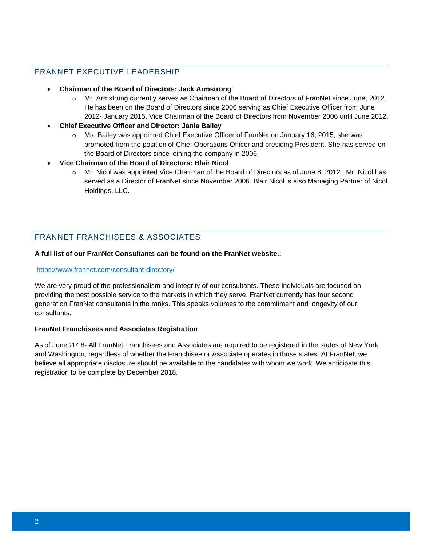#### FRANNET EXECUTIVE LEADERSHIP

#### • **Chairman of the Board of Directors: Jack Armstrong**

- Mr. Armstrong currently serves as Chairman of the Board of Directors of FranNet since June, 2012. He has been on the Board of Directors since 2006 serving as Chief Executive Officer from June 2012- January 2015, Vice Chairman of the Board of Directors from November 2006 until June 2012.
- **Chief Executive Officer and Director: Jania Bailey**
	- o Ms. Bailey was appointed Chief Executive Officer of FranNet on January 16, 2015, she was promoted from the position of Chief Operations Officer and presiding President. She has served on the Board of Directors since joining the company in 2006.
- **Vice Chairman of the Board of Directors: Blair Nicol**
	- $\circ$  Mr. Nicol was appointed Vice Chairman of the Board of Directors as of June 8, 2012. Mr. Nicol has served as a Director of FranNet since November 2006. Blair Nicol is also Managing Partner of Nicol Holdings, LLC.

# FRANNET FRANCHISEES & ASSOCIATES

#### **A full list of our FranNet Consultants can be found on the FranNet website.:**

#### <https://www.frannet.com/consultant-directory/>

We are very proud of the professionalism and integrity of our consultants. These individuals are focused on providing the best possible service to the markets in which they serve. FranNet currently has four second generation FranNet consultants in the ranks. This speaks volumes to the commitment and longevity of our consultants.

#### **FranNet Franchisees and Associates Registration**

As of June 2018- All FranNet Franchisees and Associates are required to be registered in the states of New York and Washington, regardless of whether the Franchisee or Associate operates in those states. At FranNet, we believe all appropriate disclosure should be available to the candidates with whom we work. We anticipate this registration to be complete by December 2018.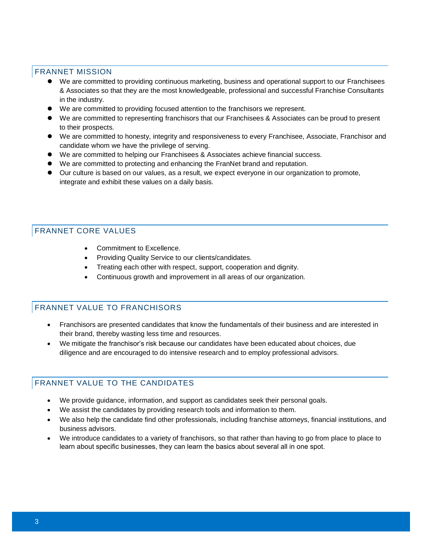#### FRANNET MISSION

- ⚫ We are committed to providing continuous marketing, business and operational support to our Franchisees & Associates so that they are the most knowledgeable, professional and successful Franchise Consultants in the industry.
- ⚫ We are committed to providing focused attention to the franchisors we represent.
- ⚫ We are committed to representing franchisors that our Franchisees & Associates can be proud to present to their prospects.
- We are committed to honesty, integrity and responsiveness to every Franchisee, Associate, Franchisor and candidate whom we have the privilege of serving.
- We are committed to helping our Franchisees & Associates achieve financial success.
- We are committed to protecting and enhancing the FranNet brand and reputation.
- ⚫ Our culture is based on our values, as a result, we expect everyone in our organization to promote, integrate and exhibit these values on a daily basis.

# FRANNET CORE VALUES

- Commitment to Excellence.
- Providing Quality Service to our clients/candidates.
- Treating each other with respect, support, cooperation and dignity.
- Continuous growth and improvement in all areas of our organization.

# FRANNET VALUE TO FRANCHISORS

- Franchisors are presented candidates that know the fundamentals of their business and are interested in their brand, thereby wasting less time and resources.
- We mitigate the franchisor's risk because our candidates have been educated about choices, due diligence and are encouraged to do intensive research and to employ professional advisors.

# FRANNET VALUE TO THE CANDIDATES

- We provide guidance, information, and support as candidates seek their personal goals.
- We assist the candidates by providing research tools and information to them.
- We also help the candidate find other professionals, including franchise attorneys, financial institutions, and business advisors.
- We introduce candidates to a variety of franchisors, so that rather than having to go from place to place to learn about specific businesses, they can learn the basics about several all in one spot.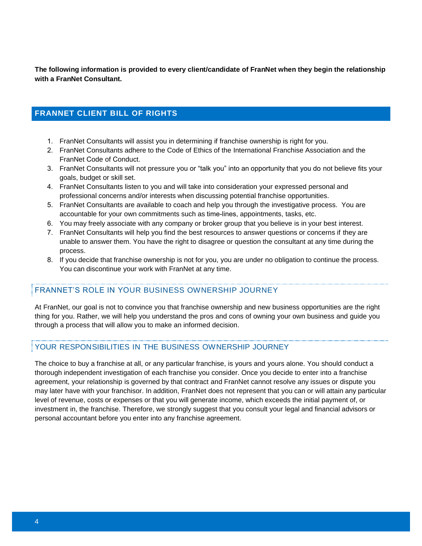**The following information is provided to every client/candidate of FranNet when they begin the relationship with a FranNet Consultant.** 

#### **FRANNET CLIENT BILL OF RIGHTS**

- 1. FranNet Consultants will assist you in determining if franchise ownership is right for you.
- 2. FranNet Consultants adhere to the Code of Ethics of the International Franchise Association and the FranNet Code of Conduct.
- 3. FranNet Consultants will not pressure you or "talk you" into an opportunity that you do not believe fits your goals, budget or skill set.
- 4. FranNet Consultants listen to you and will take into consideration your expressed personal and professional concerns and/or interests when discussing potential franchise opportunities.
- 5. FranNet Consultants are available to coach and help you through the investigative process. You are accountable for your own commitments such as time-lines, appointments, tasks, etc.
- 6. You may freely associate with any company or broker group that you believe is in your best interest.
- 7. FranNet Consultants will help you find the best resources to answer questions or concerns if they are unable to answer them. You have the right to disagree or question the consultant at any time during the process.
- 8. If you decide that franchise ownership is not for you, you are under no obligation to continue the process. You can discontinue your work with FranNet at any time.

# FRANNET'S ROLE IN YOUR BUSINESS OWNERSHIP JOURNEY

At FranNet, our goal is not to convince you that franchise ownership and new business opportunities are the right thing for you. Rather, we will help you understand the pros and cons of owning your own business and guide you through a process that will allow you to make an informed decision.

#### YOUR RESPONSIBILITIES IN THE BUSINESS OWNERSHIP JOURNEY

The choice to buy a franchise at all, or any particular franchise, is yours and yours alone. You should conduct a thorough independent investigation of each franchise you consider. Once you decide to enter into a franchise agreement, your relationship is governed by that contract and FranNet cannot resolve any issues or dispute you may later have with your franchisor. In addition, FranNet does not represent that you can or will attain any particular level of revenue, costs or expenses or that you will generate income, which exceeds the initial payment of, or investment in, the franchise. Therefore, we strongly suggest that you consult your legal and financial advisors or personal accountant before you enter into any franchise agreement.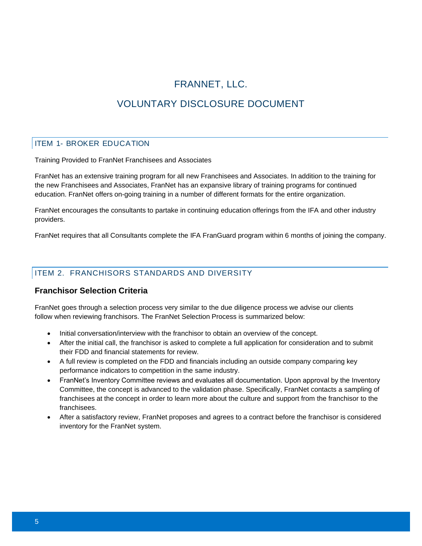# FRANNET, LLC. VOLUNTARY DISCLOSURE DOCUMENT

#### ITEM 1- BROKER EDUCATION

Training Provided to FranNet Franchisees and Associates

FranNet has an extensive training program for all new Franchisees and Associates. In addition to the training for the new Franchisees and Associates, FranNet has an expansive library of training programs for continued education. FranNet offers on-going training in a number of different formats for the entire organization.

FranNet encourages the consultants to partake in continuing education offerings from the IFA and other industry providers.

FranNet requires that all Consultants complete the IFA FranGuard program within 6 months of joining the company.

# ITEM 2. FRANCHISORS STANDARDS AND DIVERSITY

#### **Franchisor Selection Criteria**

FranNet goes through a selection process very similar to the due diligence process we advise our clients follow when reviewing franchisors. The FranNet Selection Process is summarized below:

- Initial conversation/interview with the franchisor to obtain an overview of the concept.
- After the initial call, the franchisor is asked to complete a full application for consideration and to submit their FDD and financial statements for review.
- A full review is completed on the FDD and financials including an outside company comparing key performance indicators to competition in the same industry.
- FranNet's Inventory Committee reviews and evaluates all documentation. Upon approval by the Inventory Committee, the concept is advanced to the validation phase. Specifically, FranNet contacts a sampling of franchisees at the concept in order to learn more about the culture and support from the franchisor to the franchisees.
- After a satisfactory review, FranNet proposes and agrees to a contract before the franchisor is considered inventory for the FranNet system.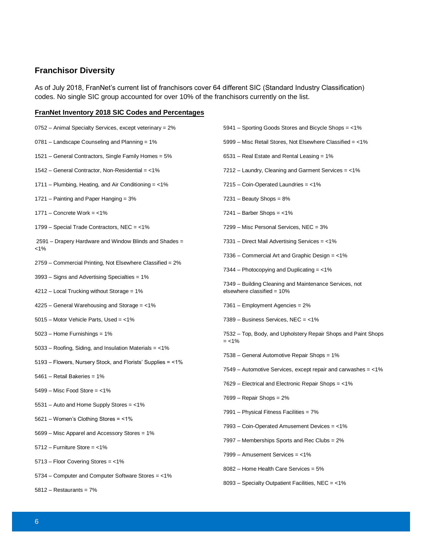# **Franchisor Diversity**

As of July 2018, FranNet's current list of franchisors cover 64 different SIC (Standard Industry Classification) codes. No single SIC group accounted for over 10% of the franchisors currently on the list.

#### **FranNet Inventory 2018 SIC Codes and Percentages**

| 0752 – Animal Specialty Services, except veterinary = 2%    | 5941 – Sporting Goods Stores and Bicycle Shops = <1%                     |
|-------------------------------------------------------------|--------------------------------------------------------------------------|
| 0781 – Landscape Counseling and Planning = 1%               | 5999 – Misc Retail Stores, Not Elsewhere Classified = <1%                |
| 1521 – General Contractors, Single Family Homes = 5%        | $6531 - Real$ Estate and Rental Leasing = 1%                             |
| 1542 – General Contractor, Non-Residential = $<$ 1%         | 7212 – Laundry, Cleaning and Garment Services = <1%                      |
| 1711 – Plumbing, Heating, and Air Conditioning $=$ <1%      | $7215 - \text{Coin-Operated Laundries} = < 1\%$                          |
| 1721 – Painting and Paper Hanging = 3%                      | $7231 -$ Beauty Shops = $8\%$                                            |
| $1771 -$ Concrete Work = <1%                                | $7241$ – Barber Shops = <1%                                              |
| 1799 – Special Trade Contractors, NEC = <1%                 | 7299 – Misc Personal Services, NEC = 3%                                  |
| 2591 – Drapery Hardware and Window Blinds and Shades =      | 7331 – Direct Mail Advertising Services = <1%                            |
| $1\%$                                                       | 7336 – Commercial Art and Graphic Design = <1%                           |
| 2759 - Commercial Printing, Not Elsewhere Classified = 2%   | 7344 – Photocopying and Duplicating $=$ <1%                              |
| 3993 – Signs and Advertising Specialties = 1%               | 7349 - Building Cleaning and Maintenance Services, not                   |
| 4212 - Local Trucking without Storage = 1%                  | elsewhere classified = $10\%$                                            |
| $4225 -$ General Warehousing and Storage = <1%              | 7361 - Employment Agencies = 2%                                          |
| 5015 - Motor Vehicle Parts, Used = <1%                      | 7389 - Business Services, NEC = $<$ 1%                                   |
| $5023$ – Home Furnishings = 1%                              | 7532 – Top, Body, and Upholstery Repair Shops and Paint Shops<br>$=$ <1% |
| 5033 – Roofing, Siding, and Insulation Materials = <1%      |                                                                          |
| 5193 – Flowers, Nursery Stock, and Florists' Supplies = <1% | 7538 - General Automotive Repair Shops = 1%                              |
| 5461 - Retail Bakeries = 1%                                 | 7549 – Automotive Services, except repair and carwashes $=$ <1%          |
| $5499 -$ Misc Food Store = $<$ 1%                           | 7629 – Electrical and Electronic Repair Shops = <1%                      |
|                                                             | $7699$ – Repair Shops = $2\%$                                            |
| 5531 - Auto and Home Supply Stores = <1%                    | 7991 - Physical Fitness Facilities = 7%                                  |
| 5621 - Women's Clothing Stores = <1%                        |                                                                          |
| 5699 - Misc Apparel and Accessory Stores = 1%               | 7993 – Coin-Operated Amusement Devices = <1%                             |
| $5712$ - Furniture Store = <1%                              | 7997 - Memberships Sports and Rec Clubs = 2%                             |
| 5713 - Floor Covering Stores = <1%                          | 7999 - Amusement Services = <1%                                          |
| 5734 – Computer and Computer Software Stores = <1%          | 8082 - Home Health Care Services = 5%                                    |
|                                                             | 8093 - Specialty Outpatient Facilities, NEC = <1%                        |
| $5812 -$ Restaurants = $7\%$                                |                                                                          |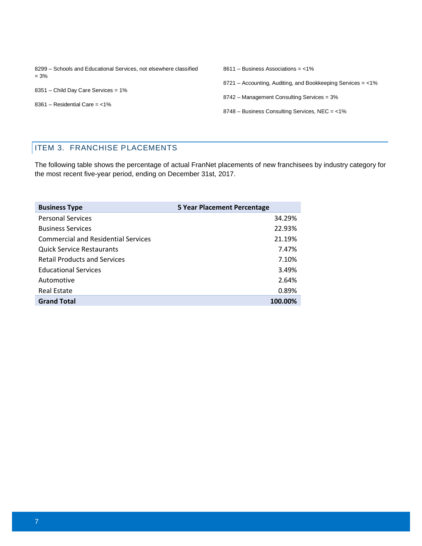| 8299 – Schools and Educational Services, not elsewhere classified<br>$= 3\%$ | $8611 - Business$ Associations = <1%                             |
|------------------------------------------------------------------------------|------------------------------------------------------------------|
| 8351 - Child Day Care Services = 1%<br>$8361 - Residental Care = < 1\%$      | $8721 -$ Accounting, Auditing, and Bookkeeping Services = $<$ 1% |
|                                                                              | 8742 – Management Consulting Services = 3%                       |
|                                                                              | 8748 - Business Consulting Services, NEC = <1%                   |

# ITEM 3. FRANCHISE PLACEMENTS

The following table shows the percentage of actual FranNet placements of new franchisees by industry category for the most recent five-year period, ending on December 31st, 2017.

| <b>Business Type</b>                       | <b>5 Year Placement Percentage</b> |
|--------------------------------------------|------------------------------------|
| <b>Personal Services</b>                   | 34.29%                             |
| <b>Business Services</b>                   | 22.93%                             |
| <b>Commercial and Residential Services</b> | 21.19%                             |
| <b>Quick Service Restaurants</b>           | 7.47%                              |
| <b>Retail Products and Services</b>        | 7.10%                              |
| <b>Educational Services</b>                | 3.49%                              |
| Automotive                                 | 2.64%                              |
| Real Estate                                | 0.89%                              |
| <b>Grand Total</b>                         | 100.00%                            |